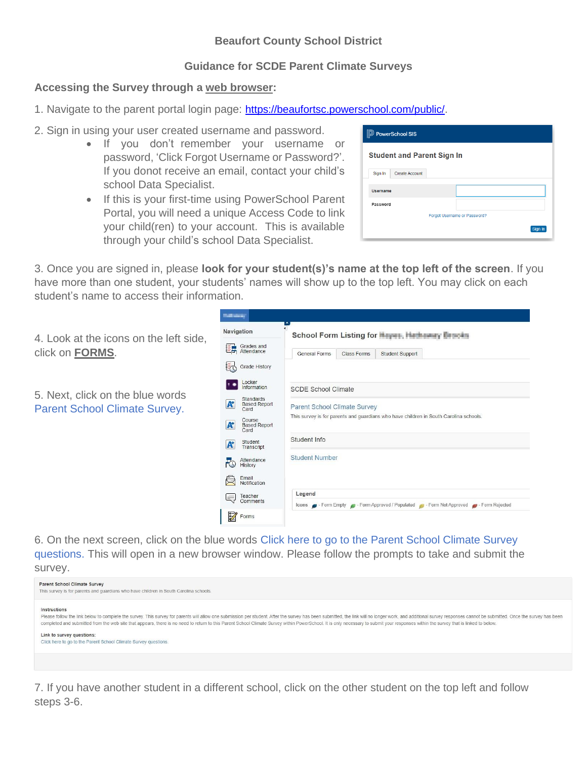## **Beaufort County School District**

## **Guidance for SCDE Parent Climate Surveys**

## **Accessing the Survey through a web browser:**

- 1. Navigate to the parent portal login page: <https://beaufortsc.powerschool.com/public/>.
- 2. Sign in using your user created username and password.
	- If you don't remember your username or password, 'Click Forgot Username or Password?'. If you donot receive an email, contact your child's school Data Specialist.
	- If this is your first-time using PowerSchool Parent Portal, you will need a unique Access Code to link your child(ren) to your account. This is available through your child's school Data Specialist.

| <b>D</b> PowerSchool SIS |                                   |  |  |  |         |  |  |
|--------------------------|-----------------------------------|--|--|--|---------|--|--|
|                          | <b>Student and Parent Sign In</b> |  |  |  |         |  |  |
| Sign In                  | <b>Create Account</b>             |  |  |  |         |  |  |
| <b>Username</b>          |                                   |  |  |  |         |  |  |
| Password                 |                                   |  |  |  |         |  |  |
|                          | Forgot Username or Password?      |  |  |  |         |  |  |
|                          |                                   |  |  |  | Sign In |  |  |
|                          |                                   |  |  |  |         |  |  |

3. Once you are signed in, please **look for your student(s)'s name at the top left of the screen**. If you have more than one student, your students' names will show up to the top left. You may click on each student's name to access their information.

|                                                                          | <b>Bally Street</b>                                                                                                                                                                                                                                                 |                                                                                                                                                                                              |  |
|--------------------------------------------------------------------------|---------------------------------------------------------------------------------------------------------------------------------------------------------------------------------------------------------------------------------------------------------------------|----------------------------------------------------------------------------------------------------------------------------------------------------------------------------------------------|--|
| 4. Look at the icons on the left side,<br>click on FORMS.                | Navigation                                                                                                                                                                                                                                                          | School Form Listing for Mayer, Hathaway Bencha                                                                                                                                               |  |
|                                                                          | Grades and<br>Attendance<br>翻                                                                                                                                                                                                                                       | General Forms<br>Student Support<br>Class Forms                                                                                                                                              |  |
|                                                                          | <b>EO</b><br>Grade History                                                                                                                                                                                                                                          |                                                                                                                                                                                              |  |
| 5. Next, click on the blue words<br><b>Parent School Climate Survey.</b> | Locker<br>Information<br>Standards<br>$\boldsymbol{A}$<br><b>Based Report</b><br>Card<br>Course<br>$\mathbf{A}$<br><b>Based Report</b><br>Card<br>Student<br>$\mathbf{A}^*$<br>Transcript<br>Attendance<br>$\overline{10}$<br>History<br>€<br>Email<br>Notification | <b>SCDE School Climate</b><br>Parent School Climate Survey<br>This survey is for parents and guardians who have children in South Carolina schools.<br>Student Info<br><b>Student Number</b> |  |
|                                                                          | Teacher<br>Comments<br>lĘ,                                                                                                                                                                                                                                          | Legend<br>Icons Form Empty = Form Approved / Populated = Form Not Approved = Form Rejected                                                                                                   |  |
|                                                                          | $\widetilde{\mathscr{U}}$<br>Forms                                                                                                                                                                                                                                  |                                                                                                                                                                                              |  |
|                                                                          |                                                                                                                                                                                                                                                                     |                                                                                                                                                                                              |  |

6. On the next screen, click on the blue words Click here to go to the Parent School Climate Survey questions. This will open in a new browser window. Please follow the prompts to take and submit the survey.

| <b>Parent School Climate Survey</b><br>This survey is for parents and quardians who have children in South Carolina schools.                                                                                                                                                                                                                                                                                                                                                                                                                                                   |
|--------------------------------------------------------------------------------------------------------------------------------------------------------------------------------------------------------------------------------------------------------------------------------------------------------------------------------------------------------------------------------------------------------------------------------------------------------------------------------------------------------------------------------------------------------------------------------|
| Instructions<br>Please follow the link below to complete the survey. This survey for parents will allow one submission per student. After the survey has been submitted, the link will no longer work, and additional survey responses cannot<br>completed and submitted from the web site that appears, there is no need to return to this Parent School Climate Survey within PowerSchool. It is only necessary to submit your responses within the survey that is linked to<br>Link to survey questions:<br>Click here to go to the Parent School Climate Survey questions. |
|                                                                                                                                                                                                                                                                                                                                                                                                                                                                                                                                                                                |

7. If you have another student in a different school, click on the other student on the top left and follow steps 3-6.